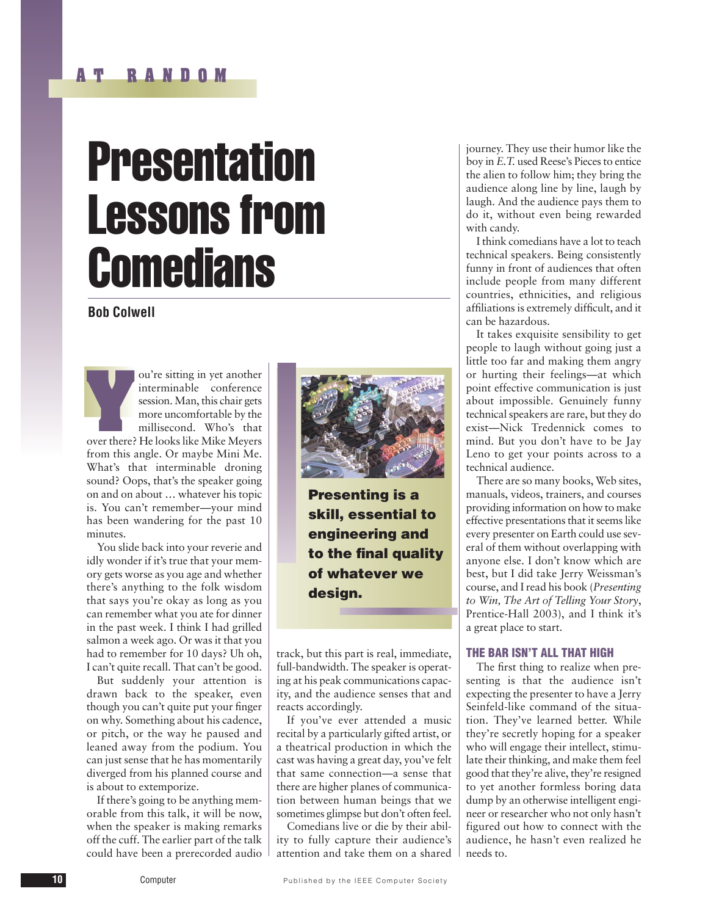# Presentation Lessons from **Comedians**

# **Bob Colwell**

Framinable conference<br>
Interminable conference<br>
session. Man, this chair gets<br>
more uncomfortable by the<br>
millisecond. Who's that<br>
over there? He looks like Mike Meyers ou're sitting in yet another interminable conference session. Man, this chair gets more uncomfortable by the millisecond. Who's that from this angle. Or maybe Mini Me. What's that interminable droning sound? Oops, that's the speaker going on and on about … whatever his topic is. You can't remember—your mind has been wandering for the past 10 minutes.

You slide back into your reverie and idly wonder if it's true that your memory gets worse as you age and whether there's anything to the folk wisdom that says you're okay as long as you can remember what you ate for dinner in the past week. I think I had grilled salmon a week ago. Or was it that you had to remember for 10 days? Uh oh, I can't quite recall. That can't be good.

But suddenly your attention is drawn back to the speaker, even though you can't quite put your finger on why. Something about his cadence, or pitch, or the way he paused and leaned away from the podium. You can just sense that he has momentarily diverged from his planned course and is about to extemporize.

If there's going to be anything memorable from this talk, it will be now, when the speaker is making remarks off the cuff. The earlier part of the talk could have been a prerecorded audio



**Presenting is a skill, essential to engineering and to the final quality of whatever we design.**

track, but this part is real, immediate, full-bandwidth. The speaker is operating at his peak communications capacity, and the audience senses that and reacts accordingly.

If you've ever attended a music recital by a particularly gifted artist, or a theatrical production in which the cast was having a great day, you've felt that same connection—a sense that there are higher planes of communication between human beings that we sometimes glimpse but don't often feel.

Comedians live or die by their ability to fully capture their audience's attention and take them on a shared journey. They use their humor like the boy in *E.T.* used Reese's Pieces to entice the alien to follow him; they bring the audience along line by line, laugh by laugh. And the audience pays them to do it, without even being rewarded with candy.

I think comedians have a lot to teach technical speakers. Being consistently funny in front of audiences that often include people from many different countries, ethnicities, and religious affiliations is extremely difficult, and it can be hazardous.

It takes exquisite sensibility to get people to laugh without going just a little too far and making them angry or hurting their feelings—at which point effective communication is just about impossible. Genuinely funny technical speakers are rare, but they do exist—Nick Tredennick comes to mind. But you don't have to be Jay Leno to get your points across to a technical audience.

There are so many books, Web sites, manuals, videos, trainers, and courses providing information on how to make effective presentations that it seems like every presenter on Earth could use several of them without overlapping with anyone else. I don't know which are best, but I did take Jerry Weissman's course, and I read his book (*Presenting to Win, The Art of Telling Your Story*, Prentice-Hall 2003), and I think it's a great place to start.

# **THE BAR ISN'T ALL THAT HIGH**

The first thing to realize when presenting is that the audience isn't expecting the presenter to have a Jerry Seinfeld-like command of the situation. They've learned better. While they're secretly hoping for a speaker who will engage their intellect, stimulate their thinking, and make them feel good that they're alive, they're resigned to yet another formless boring data dump by an otherwise intelligent engineer or researcher who not only hasn't figured out how to connect with the audience, he hasn't even realized he needs to.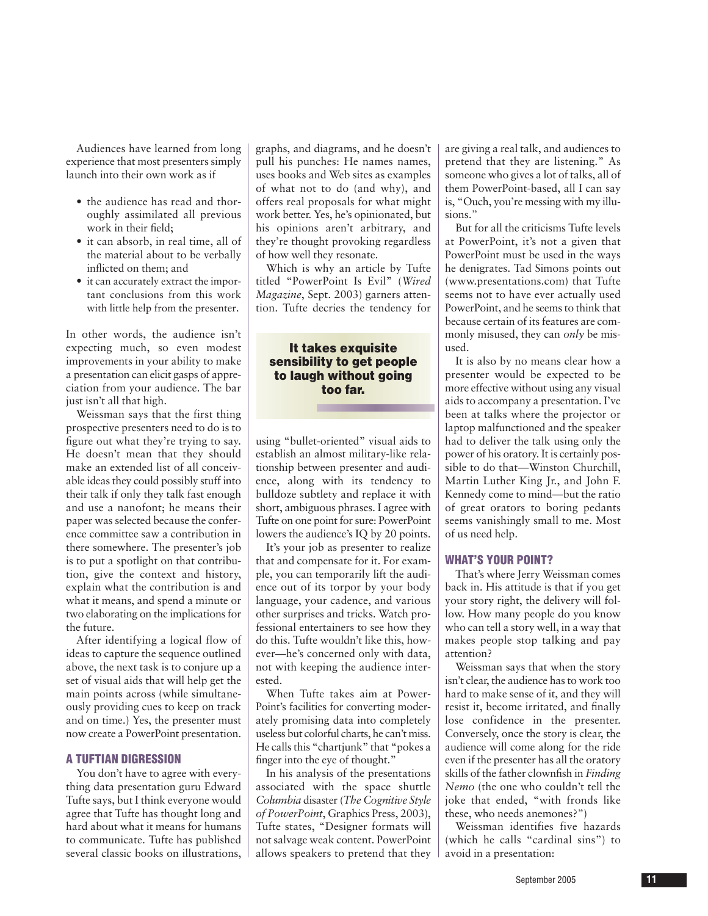Audiences have learned from long experience that most presenters simply launch into their own work as if

- the audience has read and thoroughly assimilated all previous work in their field;
- it can absorb, in real time, all of the material about to be verbally inflicted on them; and
- it can accurately extract the important conclusions from this work with little help from the presenter.

In other words, the audience isn't expecting much, so even modest improvements in your ability to make a presentation can elicit gasps of appreciation from your audience. The bar just isn't all that high.

Weissman says that the first thing prospective presenters need to do is to figure out what they're trying to say. He doesn't mean that they should make an extended list of all conceivable ideas they could possibly stuff into their talk if only they talk fast enough and use a nanofont; he means their paper was selected because the conference committee saw a contribution in there somewhere. The presenter's job is to put a spotlight on that contribution, give the context and history, explain what the contribution is and what it means, and spend a minute or two elaborating on the implications for the future.

After identifying a logical flow of ideas to capture the sequence outlined above, the next task is to conjure up a set of visual aids that will help get the main points across (while simultaneously providing cues to keep on track and on time.) Yes, the presenter must now create a PowerPoint presentation.

#### **A TUFTIAN DIGRESSION**

You don't have to agree with everything data presentation guru Edward Tufte says, but I think everyone would agree that Tufte has thought long and hard about what it means for humans to communicate. Tufte has published several classic books on illustrations, graphs, and diagrams, and he doesn't pull his punches: He names names, uses books and Web sites as examples of what not to do (and why), and offers real proposals for what might work better. Yes, he's opinionated, but his opinions aren't arbitrary, and they're thought provoking regardless of how well they resonate.

Which is why an article by Tufte titled "PowerPoint Is Evil" (*Wired Magazine*, Sept. 2003) garners attention. Tufte decries the tendency for

## **It takes exquisite sensibility to get people to laugh without going too far.**

using "bullet-oriented" visual aids to establish an almost military-like relationship between presenter and audience, along with its tendency to bulldoze subtlety and replace it with short, ambiguous phrases. I agree with Tufte on one point for sure: PowerPoint lowers the audience's IQ by 20 points.

It's your job as presenter to realize that and compensate for it. For example, you can temporarily lift the audience out of its torpor by your body language, your cadence, and various other surprises and tricks. Watch professional entertainers to see how they do this. Tufte wouldn't like this, however—he's concerned only with data, not with keeping the audience interested.

When Tufte takes aim at Power-Point's facilities for converting moderately promising data into completely useless but colorful charts, he can't miss. He calls this "chartjunk" that "pokes a finger into the eye of thought."

In his analysis of the presentations associated with the space shuttle *Columbia* disaster (*The Cognitive Style of PowerPoint*, Graphics Press, 2003), Tufte states, "Designer formats will not salvage weak content. PowerPoint allows speakers to pretend that they

are giving a real talk, and audiences to pretend that they are listening." As someone who gives a lot of talks, all of them PowerPoint-based, all I can say is, "Ouch, you're messing with my illusions."

But for all the criticisms Tufte levels at PowerPoint, it's not a given that PowerPoint must be used in the ways he denigrates. Tad Simons points out (www.presentations.com) that Tufte seems not to have ever actually used PowerPoint, and he seems to think that because certain of its features are commonly misused, they can *only* be misused.

It is also by no means clear how a presenter would be expected to be more effective without using any visual aids to accompany a presentation. I've been at talks where the projector or laptop malfunctioned and the speaker had to deliver the talk using only the power of his oratory. It is certainly possible to do that—Winston Churchill, Martin Luther King Jr., and John F. Kennedy come to mind—but the ratio of great orators to boring pedants seems vanishingly small to me. Most of us need help.

### **WHAT'S YOUR POINT?**

That's where Jerry Weissman comes back in. His attitude is that if you get your story right, the delivery will follow. How many people do you know who can tell a story well, in a way that makes people stop talking and pay attention?

Weissman says that when the story isn't clear, the audience has to work too hard to make sense of it, and they will resist it, become irritated, and finally lose confidence in the presenter. Conversely, once the story is clear, the audience will come along for the ride even if the presenter has all the oratory skills of the father clownfish in *Finding Nemo* (the one who couldn't tell the joke that ended, "with fronds like these, who needs anemones?")

Weissman identifies five hazards (which he calls "cardinal sins") to avoid in a presentation: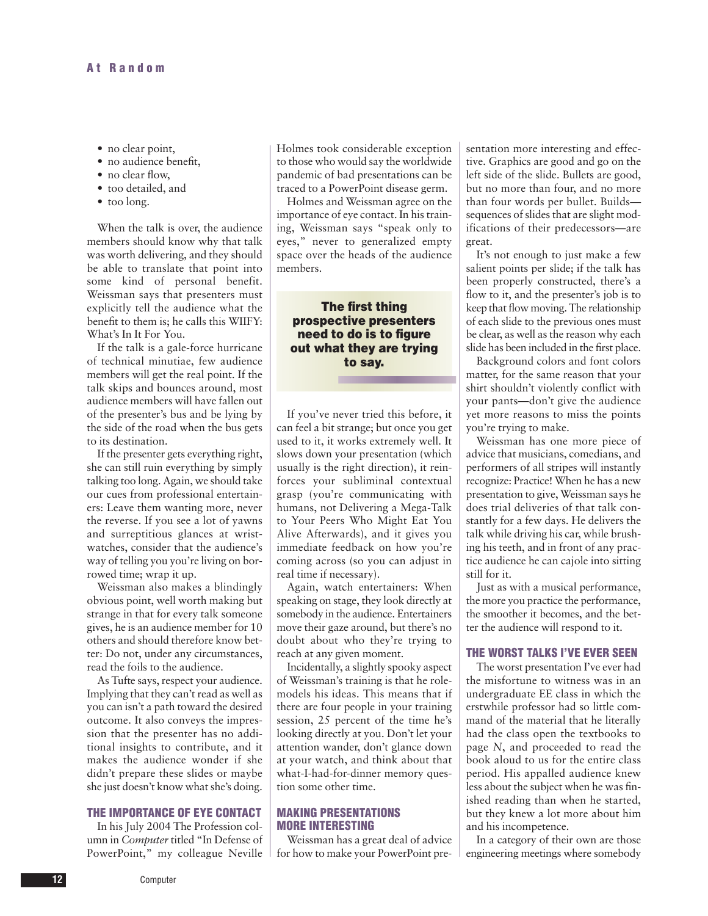- no clear point,
- no audience benefit,
- no clear flow.
- too detailed, and
- too long.

When the talk is over, the audience members should know why that talk was worth delivering, and they should be able to translate that point into some kind of personal benefit. Weissman says that presenters must explicitly tell the audience what the benefit to them is; he calls this WIIFY: What's In It For You.

If the talk is a gale-force hurricane of technical minutiae, few audience members will get the real point. If the talk skips and bounces around, most audience members will have fallen out of the presenter's bus and be lying by the side of the road when the bus gets to its destination.

If the presenter gets everything right, she can still ruin everything by simply talking too long. Again, we should take our cues from professional entertainers: Leave them wanting more, never the reverse. If you see a lot of yawns and surreptitious glances at wristwatches, consider that the audience's way of telling you you're living on borrowed time; wrap it up.

Weissman also makes a blindingly obvious point, well worth making but strange in that for every talk someone gives, he is an audience member for 10 others and should therefore know better: Do not, under any circumstances, read the foils to the audience.

As Tufte says, respect your audience. Implying that they can't read as well as you can isn't a path toward the desired outcome. It also conveys the impression that the presenter has no additional insights to contribute, and it makes the audience wonder if she didn't prepare these slides or maybe she just doesn't know what she's doing.

#### **THE IMPORTANCE OF EYE CONTACT**

In his July 2004 The Profession column in *Computer*titled "In Defense of PowerPoint," my colleague Neville Holmes took considerable exception to those who would say the worldwide pandemic of bad presentations can be traced to a PowerPoint disease germ.

Holmes and Weissman agree on the importance of eye contact. In his training, Weissman says "speak only to eyes," never to generalized empty space over the heads of the audience members.

# **The first thing prospective presenters need to do is to figure out what they are trying to say.**

If you've never tried this before, it can feel a bit strange; but once you get used to it, it works extremely well. It slows down your presentation (which usually is the right direction), it reinforces your subliminal contextual grasp (you're communicating with humans, not Delivering a Mega-Talk to Your Peers Who Might Eat You Alive Afterwards), and it gives you immediate feedback on how you're coming across (so you can adjust in real time if necessary).

Again, watch entertainers: When speaking on stage, they look directly at somebody in the audience. Entertainers move their gaze around, but there's no doubt about who they're trying to reach at any given moment.

Incidentally, a slightly spooky aspect of Weissman's training is that he rolemodels his ideas. This means that if there are four people in your training session, 25 percent of the time he's looking directly at you. Don't let your attention wander, don't glance down at your watch, and think about that what-I-had-for-dinner memory question some other time.

#### **MAKING PRESENTATIONS MORE INTERESTING**

Weissman has a great deal of advice for how to make your PowerPoint presentation more interesting and effective. Graphics are good and go on the left side of the slide. Bullets are good, but no more than four, and no more than four words per bullet. Builds sequences of slides that are slight modifications of their predecessors—are great.

It's not enough to just make a few salient points per slide; if the talk has been properly constructed, there's a flow to it, and the presenter's job is to keep that flow moving. The relationship of each slide to the previous ones must be clear, as well as the reason why each slide has been included in the first place.

Background colors and font colors matter, for the same reason that your shirt shouldn't violently conflict with your pants—don't give the audience yet more reasons to miss the points you're trying to make.

Weissman has one more piece of advice that musicians, comedians, and performers of all stripes will instantly recognize: Practice! When he has a new presentation to give, Weissman says he does trial deliveries of that talk constantly for a few days. He delivers the talk while driving his car, while brushing his teeth, and in front of any practice audience he can cajole into sitting still for it.

Just as with a musical performance, the more you practice the performance, the smoother it becomes, and the better the audience will respond to it.

#### **THE WORST TALKS I'VE EVER SEEN**

The worst presentation I've ever had the misfortune to witness was in an undergraduate EE class in which the erstwhile professor had so little command of the material that he literally had the class open the textbooks to page *N*, and proceeded to read the book aloud to us for the entire class period. His appalled audience knew less about the subject when he was finished reading than when he started, but they knew a lot more about him and his incompetence.

In a category of their own are those engineering meetings where somebody